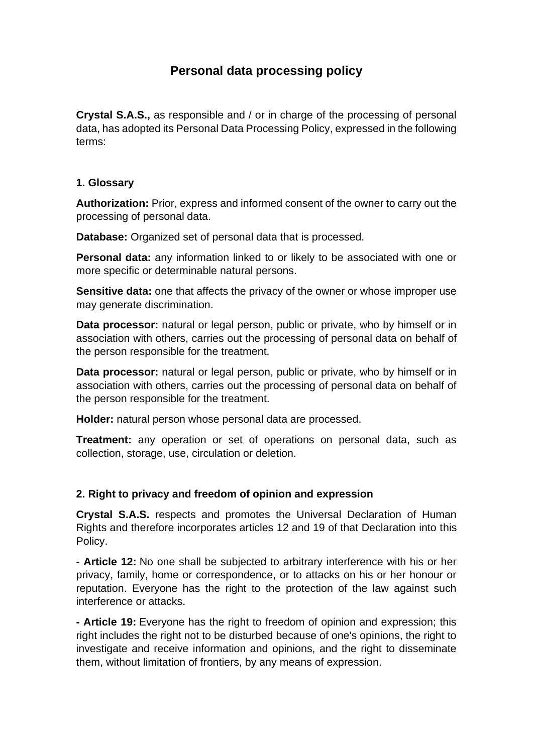# **Personal data processing policy**

**Crystal S.A.S.,** as responsible and / or in charge of the processing of personal data, has adopted its Personal Data Processing Policy, expressed in the following terms:

#### **1. Glossary**

**Authorization:** Prior, express and informed consent of the owner to carry out the processing of personal data.

**Database:** Organized set of personal data that is processed.

**Personal data:** any information linked to or likely to be associated with one or more specific or determinable natural persons.

**Sensitive data:** one that affects the privacy of the owner or whose improper use may generate discrimination.

**Data processor:** natural or legal person, public or private, who by himself or in association with others, carries out the processing of personal data on behalf of the person responsible for the treatment.

**Data processor:** natural or legal person, public or private, who by himself or in association with others, carries out the processing of personal data on behalf of the person responsible for the treatment.

**Holder:** natural person whose personal data are processed.

**Treatment:** any operation or set of operations on personal data, such as collection, storage, use, circulation or deletion.

#### **2. Right to privacy and freedom of opinion and expression**

**Crystal S.A.S.** respects and promotes the Universal Declaration of Human Rights and therefore incorporates articles 12 and 19 of that Declaration into this Policy.

**- Article 12:** No one shall be subjected to arbitrary interference with his or her privacy, family, home or correspondence, or to attacks on his or her honour or reputation. Everyone has the right to the protection of the law against such interference or attacks.

**- Article 19:** Everyone has the right to freedom of opinion and expression; this right includes the right not to be disturbed because of one's opinions, the right to investigate and receive information and opinions, and the right to disseminate them, without limitation of frontiers, by any means of expression.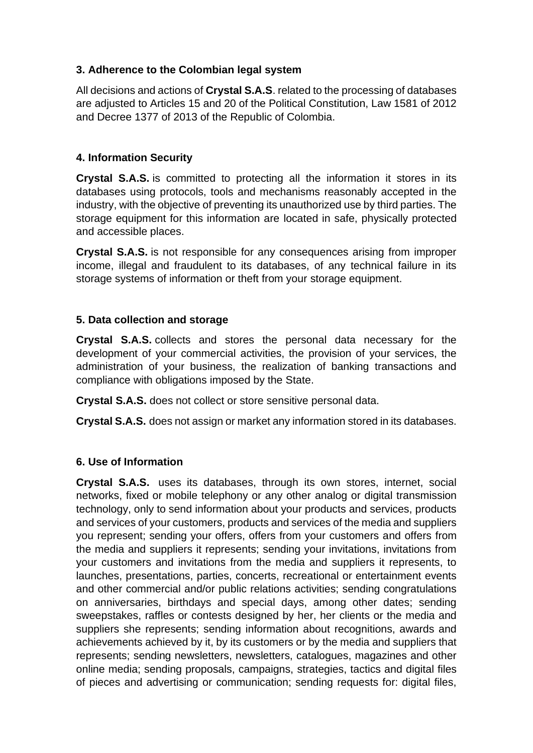#### **3. Adherence to the Colombian legal system**

All decisions and actions of **Crystal S.A.S**. related to the processing of databases are adjusted to Articles 15 and 20 of the Political Constitution, Law 1581 of 2012 and Decree 1377 of 2013 of the Republic of Colombia.

# **4. Information Security**

**Crystal S.A.S.** is committed to protecting all the information it stores in its databases using protocols, tools and mechanisms reasonably accepted in the industry, with the objective of preventing its unauthorized use by third parties. The storage equipment for this information are located in safe, physically protected and accessible places.

**Crystal S.A.S.** is not responsible for any consequences arising from improper income, illegal and fraudulent to its databases, of any technical failure in its storage systems of information or theft from your storage equipment.

# **5. Data collection and storage**

**Crystal S.A.S.** collects and stores the personal data necessary for the development of your commercial activities, the provision of your services, the administration of your business, the realization of banking transactions and compliance with obligations imposed by the State.

**Crystal S.A.S.** does not collect or store sensitive personal data.

**Crystal S.A.S.** does not assign or market any information stored in its databases.

#### **6. Use of Information**

**Crystal S.A.S.** uses its databases, through its own stores, internet, social networks, fixed or mobile telephony or any other analog or digital transmission technology, only to send information about your products and services, products and services of your customers, products and services of the media and suppliers you represent; sending your offers, offers from your customers and offers from the media and suppliers it represents; sending your invitations, invitations from your customers and invitations from the media and suppliers it represents, to launches, presentations, parties, concerts, recreational or entertainment events and other commercial and/or public relations activities; sending congratulations on anniversaries, birthdays and special days, among other dates; sending sweepstakes, raffles or contests designed by her, her clients or the media and suppliers she represents; sending information about recognitions, awards and achievements achieved by it, by its customers or by the media and suppliers that represents; sending newsletters, newsletters, catalogues, magazines and other online media; sending proposals, campaigns, strategies, tactics and digital files of pieces and advertising or communication; sending requests for: digital files,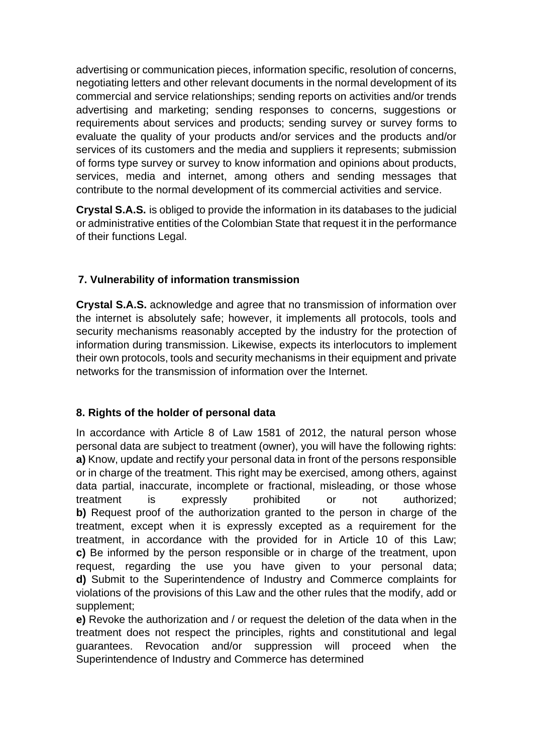advertising or communication pieces, information specific, resolution of concerns, negotiating letters and other relevant documents in the normal development of its commercial and service relationships; sending reports on activities and/or trends advertising and marketing; sending responses to concerns, suggestions or requirements about services and products; sending survey or survey forms to evaluate the quality of your products and/or services and the products and/or services of its customers and the media and suppliers it represents; submission of forms type survey or survey to know information and opinions about products, services, media and internet, among others and sending messages that contribute to the normal development of its commercial activities and service.

**Crystal S.A.S.** is obliged to provide the information in its databases to the judicial or administrative entities of the Colombian State that request it in the performance of their functions Legal.

# **7. Vulnerability of information transmission**

**Crystal S.A.S.** acknowledge and agree that no transmission of information over the internet is absolutely safe; however, it implements all protocols, tools and security mechanisms reasonably accepted by the industry for the protection of information during transmission. Likewise, expects its interlocutors to implement their own protocols, tools and security mechanisms in their equipment and private networks for the transmission of information over the Internet.

#### **8. Rights of the holder of personal data**

In accordance with Article 8 of Law 1581 of 2012, the natural person whose personal data are subject to treatment (owner), you will have the following rights: **a)** Know, update and rectify your personal data in front of the persons responsible or in charge of the treatment. This right may be exercised, among others, against data partial, inaccurate, incomplete or fractional, misleading, or those whose treatment is expressly prohibited or not authorized; **b)** Request proof of the authorization granted to the person in charge of the treatment, except when it is expressly excepted as a requirement for the treatment, in accordance with the provided for in Article 10 of this Law; **c)** Be informed by the person responsible or in charge of the treatment, upon request, regarding the use you have given to your personal data; **d)** Submit to the Superintendence of Industry and Commerce complaints for violations of the provisions of this Law and the other rules that the modify, add or supplement;

**e)** Revoke the authorization and / or request the deletion of the data when in the treatment does not respect the principles, rights and constitutional and legal guarantees. Revocation and/or suppression will proceed when the Superintendence of Industry and Commerce has determined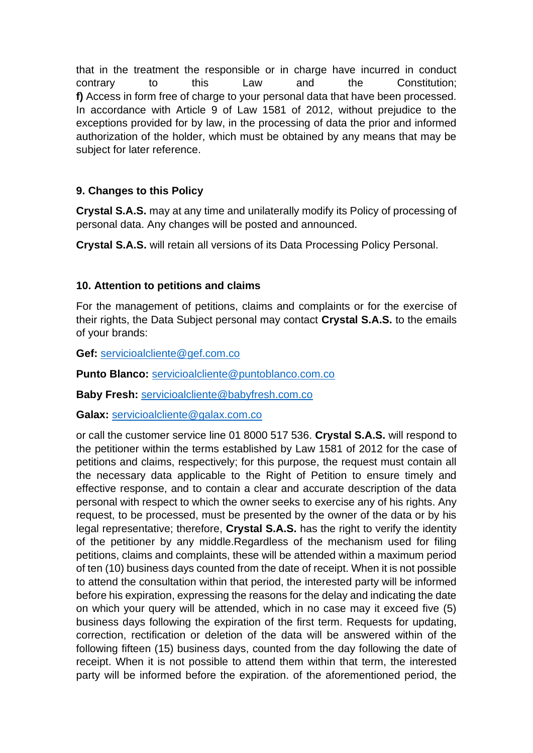that in the treatment the responsible or in charge have incurred in conduct contrary to this Law and the Constitution; **f)** Access in form free of charge to your personal data that have been processed. In accordance with Article 9 of Law 1581 of 2012, without prejudice to the exceptions provided for by law, in the processing of data the prior and informed authorization of the holder, which must be obtained by any means that may be subject for later reference.

# **9. Changes to this Policy**

**Crystal S.A.S.** may at any time and unilaterally modify its Policy of processing of personal data. Any changes will be posted and announced.

**Crystal S.A.S.** will retain all versions of its Data Processing Policy Personal.

# **10. Attention to petitions and claims**

For the management of petitions, claims and complaints or for the exercise of their rights, the Data Subject personal may contact **Crystal S.A.S.** to the emails of your brands:

**Gef:** [servicioalcliente@gef.com.co](mailto:servicioalcliente@gef.com.co)

**Punto Blanco:** [servicioalcliente@puntoblanco.com.co](mailto:servicioalcliente@puntoblanco.com.co)

**Baby Fresh:** [servicioalcliente@babyfresh.com.co](mailto:servicioalcliente@babyfresh.com.co)

**Galax:** [servicioalcliente@galax.com.co](mailto:servicioalcliente@galax.com.co)

or call the customer service line 01 8000 517 536. **Crystal S.A.S.** will respond to the petitioner within the terms established by Law 1581 of 2012 for the case of petitions and claims, respectively; for this purpose, the request must contain all the necessary data applicable to the Right of Petition to ensure timely and effective response, and to contain a clear and accurate description of the data personal with respect to which the owner seeks to exercise any of his rights. Any request, to be processed, must be presented by the owner of the data or by his legal representative; therefore, **Crystal S.A.S.** has the right to verify the identity of the petitioner by any middle.Regardless of the mechanism used for filing petitions, claims and complaints, these will be attended within a maximum period of ten (10) business days counted from the date of receipt. When it is not possible to attend the consultation within that period, the interested party will be informed before his expiration, expressing the reasons for the delay and indicating the date on which your query will be attended, which in no case may it exceed five (5) business days following the expiration of the first term. Requests for updating, correction, rectification or deletion of the data will be answered within of the following fifteen (15) business days, counted from the day following the date of receipt. When it is not possible to attend them within that term, the interested party will be informed before the expiration. of the aforementioned period, the